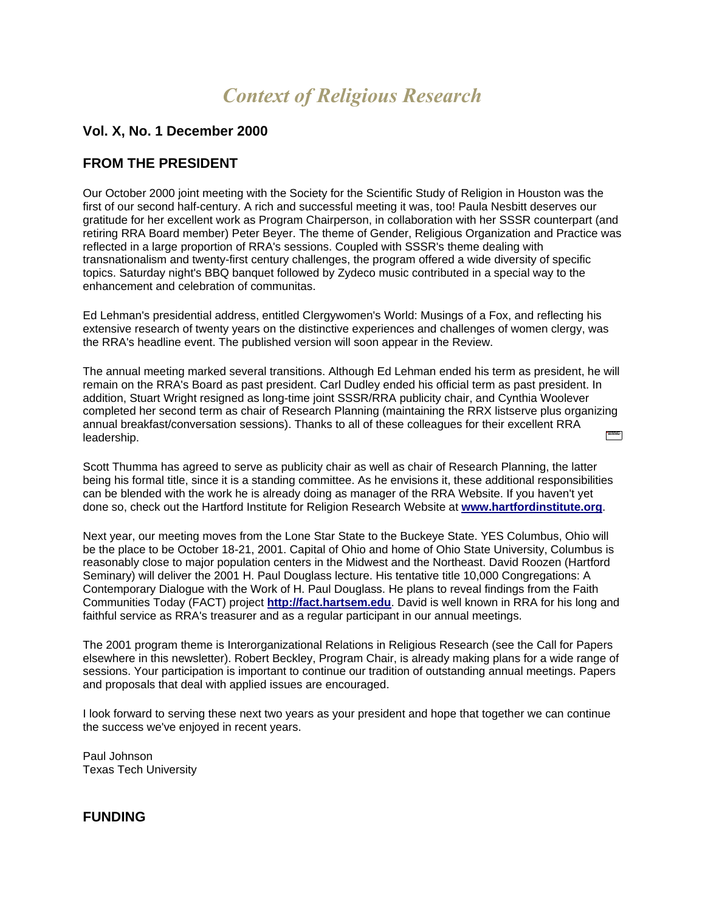# *Context of Religious Research*

## **Vol. X, No. 1 December 2000**

## **FROM THE PRESIDENT**

Our October 2000 joint meeting with the Society for the Scientific Study of Religion in Houston was the first of our second half-century. A rich and successful meeting it was, too! Paula Nesbitt deserves our gratitude for her excellent work as Program Chairperson, in collaboration with her SSSR counterpart (and retiring RRA Board member) Peter Beyer. The theme of Gender, Religious Organization and Practice was reflected in a large proportion of RRA's sessions. Coupled with SSSR's theme dealing with transnationalism and twenty-first century challenges, the program offered a wide diversity of specific topics. Saturday night's BBQ banquet followed by Zydeco music contributed in a special way to the enhancement and celebration of communitas.

Ed Lehman's presidential address, entitled Clergywomen's World: Musings of a Fox, and reflecting his extensive research of twenty years on the distinctive experiences and challenges of women clergy, was the RRA's headline event. The published version will soon appear in the Review.

The annual meeting marked several transitions. Although Ed Lehman ended his term as president, he will remain on the RRA's Board as past president. Carl Dudley ended his official term as past president. In addition, Stuart Wright resigned as long-time joint SSSR/RRA publicity chair, and Cynthia Woolever completed her second term as chair of Research Planning (maintaining the RRX listserve plus organizing annual breakfast/conversation sessions). Thanks to all of these colleagues for their excellent RRA  $\frac{1}{2} \frac{\sum_{i=1}^{n} \sum_{j=1}^{n} \sum_{j=1}^{n} \sum_{j=1}^{n} \sum_{j=1}^{n} \sum_{j=1}^{n} \sum_{j=1}^{n} \sum_{j=1}^{n} \sum_{j=1}^{n} \sum_{j=1}^{n} \sum_{j=1}^{n} \sum_{j=1}^{n} \sum_{j=1}^{n} \sum_{j=1}^{n} \sum_{j=1}^{n} \sum_{j=1}^{n} \sum_{j=1}^{n} \sum_{j=1}^{n} \sum_{j=1}^{n} \sum_{j=1}^{n} \sum_{j=1}^{n} \$ leadership.

Scott Thumma has agreed to serve as publicity chair as well as chair of Research Planning, the latter being his formal title, since it is a standing committee. As he envisions it, these additional responsibilities can be blended with the work he is already doing as manager of the RRA Website. If you haven't yet done so, check out the Hartford Institute for Religion Research Website at **[www.hartfordinstitute.org](http://www.hartfordinstitute.org/)**.

Next year, our meeting moves from the Lone Star State to the Buckeye State. YES Columbus, Ohio will be the place to be October 18-21, 2001. Capital of Ohio and home of Ohio State University, Columbus is reasonably close to major population centers in the Midwest and the Northeast. David Roozen (Hartford Seminary) will deliver the 2001 H. Paul Douglass lecture. His tentative title 10,000 Congregations: A Contemporary Dialogue with the Work of H. Paul Douglass. He plans to reveal findings from the Faith Communities Today (FACT) project **[http://fact.hartsem.edu](http://fact.hartsem.edu/)**. David is well known in RRA for his long and faithful service as RRA's treasurer and as a regular participant in our annual meetings.

The 2001 program theme is Interorganizational Relations in Religious Research (see the Call for Papers elsewhere in this newsletter). Robert Beckley, Program Chair, is already making plans for a wide range of sessions. Your participation is important to continue our tradition of outstanding annual meetings. Papers and proposals that deal with applied issues are encouraged.

I look forward to serving these next two years as your president and hope that together we can continue the success we've enjoyed in recent years.

Paul Johnson Texas Tech University

### **FUNDING**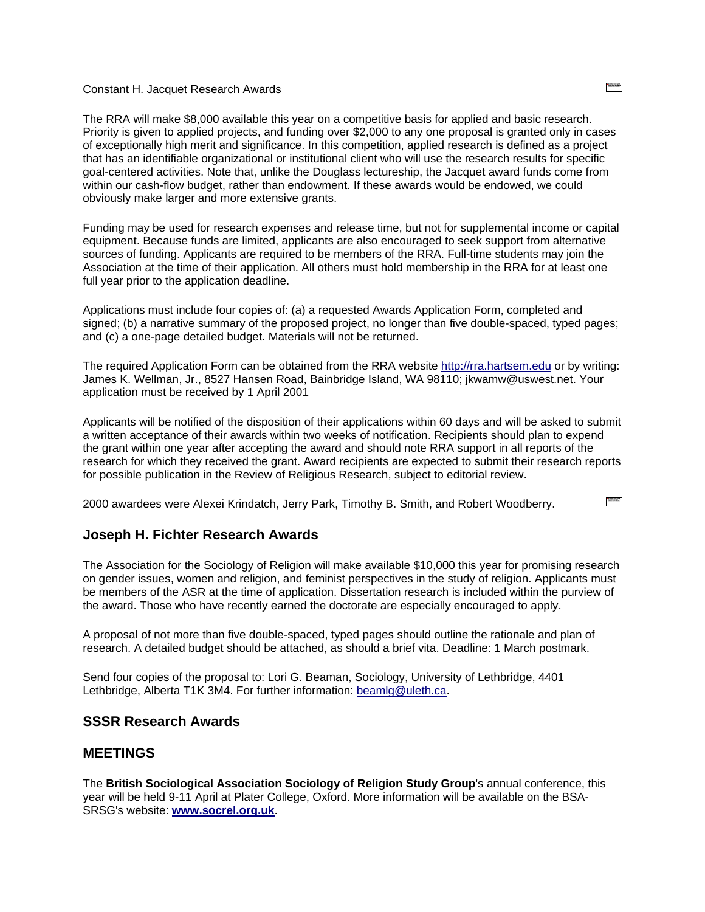#### Constant H. Jacquet Research Awards

The RRA will make \$8,000 available this year on a competitive basis for applied and basic research. Priority is given to applied projects, and funding over \$2,000 to any one proposal is granted only in cases of exceptionally high merit and significance. In this competition, applied research is defined as a project that has an identifiable organizational or institutional client who will use the research results for specific goal-centered activities. Note that, unlike the Douglass lectureship, the Jacquet award funds come from within our cash-flow budget, rather than endowment. If these awards would be endowed, we could obviously make larger and more extensive grants.

Funding may be used for research expenses and release time, but not for supplemental income or capital equipment. Because funds are limited, applicants are also encouraged to seek support from alternative sources of funding. Applicants are required to be members of the RRA. Full-time students may join the Association at the time of their application. All others must hold membership in the RRA for at least one full year prior to the application deadline.

Applications must include four copies of: (a) a requested Awards Application Form, completed and signed; (b) a narrative summary of the proposed project, no longer than five double-spaced, typed pages; and (c) a one-page detailed budget. Materials will not be returned.

The required Application Form can be obtained from the RRA website [http://rra.hartsem.edu](http://rra.hartsem.edu/) or by writing: James K. Wellman, Jr., 8527 Hansen Road, Bainbridge Island, WA 98110; jkwamw@uswest.net. Your application must be received by 1 April 2001

Applicants will be notified of the disposition of their applications within 60 days and will be asked to submit a written acceptance of their awards within two weeks of notification. Recipients should plan to expend the grant within one year after accepting the award and should note RRA support in all reports of the research for which they received the grant. Award recipients are expected to submit their research reports for possible publication in the Review of Religious Research, subject to editorial review.

2000 awardees were Alexei Krindatch, Jerry Park, Timothy B. Smith, and Robert Woodberry.

#### **Joseph H. Fichter Research Awards**

The Association for the Sociology of Religion will make available \$10,000 this year for promising research on gender issues, women and religion, and feminist perspectives in the study of religion. Applicants must be members of the ASR at the time of application. Dissertation research is included within the purview of the award. Those who have recently earned the doctorate are especially encouraged to apply.

A proposal of not more than five double-spaced, typed pages should outline the rationale and plan of research. A detailed budget should be attached, as should a brief vita. Deadline: 1 March postmark.

Send four copies of the proposal to: Lori G. Beaman, Sociology, University of Lethbridge, 4401 Lethbridge, Alberta T1K 3M4. For further information: [beamlg@uleth.ca.](mailto:beamlg@uleth.ca)

#### **SSSR Research Awards**

#### **MEETINGS**

The **British Sociological Association Sociology of Religion Study Group**'s annual conference, this year will be held 9-11 April at Plater College, Oxford. More information will be available on the BSA-SRSG's website: **[www.socrel.org.uk](http://www.socrel.org.uk/)**.

 $\frac{1}{2}$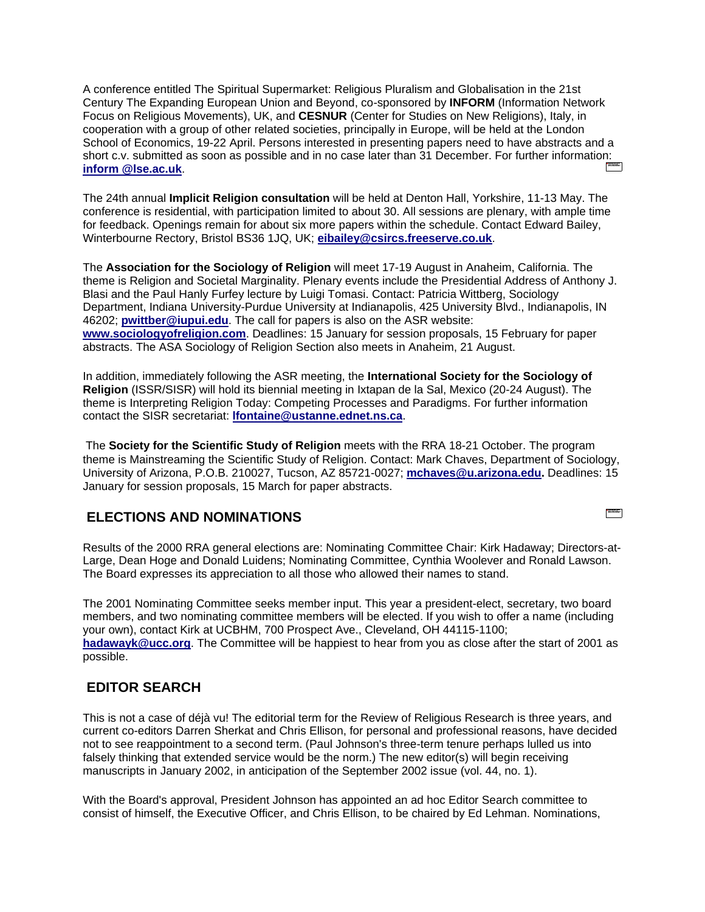A conference entitled The Spiritual Supermarket: Religious Pluralism and Globalisation in the 21st Century The Expanding European Union and Beyond, co-sponsored by **INFORM** (Information Network Focus on Religious Movements), UK, and **CESNUR** (Center for Studies on New Religions), Italy, in cooperation with a group of other related societies, principally in Europe, will be held at the London School of Economics, 19-22 April. Persons interested in presenting papers need to have abstracts and a short c.v. submitted as soon as possible and in no case later than 31 December. For further information: **[inform @lse.ac.uk](mailto:inform%20@lse.ac.uk)**.

The 24th annual **Implicit Religion consultation** will be held at Denton Hall, Yorkshire, 11-13 May. The conference is residential, with participation limited to about 30. All sessions are plenary, with ample time for feedback. Openings remain for about six more papers within the schedule. Contact Edward Bailey, Winterbourne Rectory, Bristol BS36 1JQ, UK; **[eibailey@csircs.freeserve.co.uk](mailto:eibailey@csircs.freeserve.co.uk)**.

The **Association for the Sociology of Religion** will meet 17-19 August in Anaheim, California. The theme is Religion and Societal Marginality. Plenary events include the Presidential Address of Anthony J. Blasi and the Paul Hanly Furfey lecture by Luigi Tomasi. Contact: Patricia Wittberg, Sociology Department, Indiana University-Purdue University at Indianapolis, 425 University Blvd., Indianapolis, IN 46202; **[pwittber@iupui.edu](mailto:pwittber@iupui.edu)**. The call for papers is also on the ASR website: **[www.sociologyofreligion.com](http://www.sociologyofreligion.com/)**. Deadlines: 15 January for session proposals, 15 February for paper abstracts. The ASA Sociology of Religion Section also meets in Anaheim, 21 August.

In addition, immediately following the ASR meeting, the **International Society for the Sociology of Religion** (ISSR/SISR) will hold its biennial meeting in Ixtapan de la Sal, Mexico (20-24 August). The theme is Interpreting Religion Today: Competing Processes and Paradigms. For further information contact the SISR secretariat: **[lfontaine@ustanne.ednet.ns.ca](mailto:lfontaine@ustanne.ednet.ns.ca)**.

The **Society for the Scientific Study of Religion** meets with the RRA 18-21 October. The program theme is Mainstreaming the Scientific Study of Religion. Contact: Mark Chaves, Department of Sociology, University of Arizona, P.O.B. 210027, Tucson, AZ 85721-0027; **[mchaves@u.arizona.edu.](mailto:mchaves@u.arizona.edu)** Deadlines: 15 January for session proposals, 15 March for paper abstracts.

### **ELECTIONS AND NOMINATIONS**

Results of the 2000 RRA general elections are: Nominating Committee Chair: Kirk Hadaway; Directors-at-Large, Dean Hoge and Donald Luidens; Nominating Committee, Cynthia Woolever and Ronald Lawson. The Board expresses its appreciation to all those who allowed their names to stand.

The 2001 Nominating Committee seeks member input. This year a president-elect, secretary, two board members, and two nominating committee members will be elected. If you wish to offer a name (including your own), contact Kirk at UCBHM, 700 Prospect Ave., Cleveland, OH 44115-1100; **[hadawayk@ucc.org](mailto:hadawayk@ucc.org)**. The Committee will be happiest to hear from you as close after the start of 2001 as possible.

## **EDITOR SEARCH**

This is not a case of déjà vu! The editorial term for the Review of Religious Research is three years, and current co-editors Darren Sherkat and Chris Ellison, for personal and professional reasons, have decided not to see reappointment to a second term. (Paul Johnson's three-term tenure perhaps lulled us into falsely thinking that extended service would be the norm.) The new editor(s) will begin receiving manuscripts in January 2002, in anticipation of the September 2002 issue (vol. 44, no. 1).

With the Board's approval, President Johnson has appointed an ad hoc Editor Search committee to consist of himself, the Executive Officer, and Chris Ellison, to be chaired by Ed Lehman. Nominations,

**TANKER**